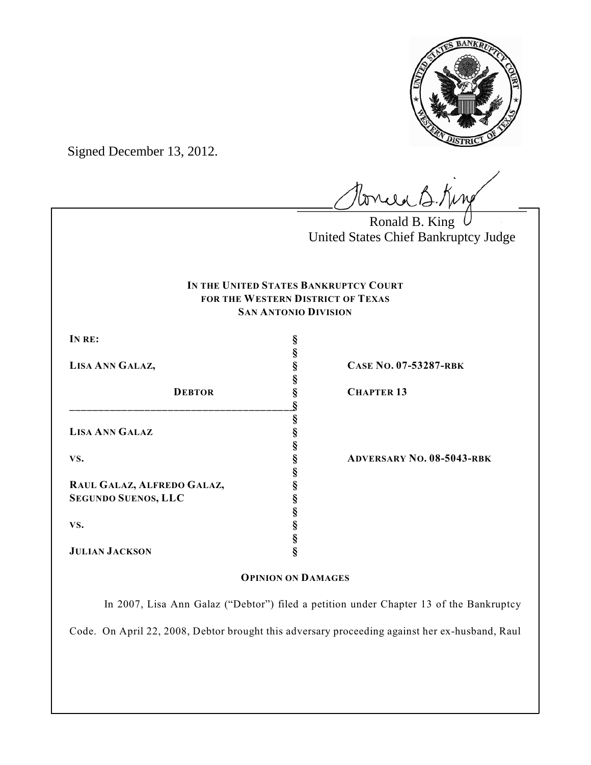

Signed December 13, 2012.

Ponced B. King

Ronald B. King United States Chief Bankruptcy Judge

## **IN THE UNITED STATES BANKRUPTCY COURT FOR THE WESTERN DISTRICT OF TEXAS SAN ANTONIO DIVISION**

**§**

**§**

**§**

**§**

**§**

**§**

**§**

**IN RE: §**

| <b>DEBTOR</b>              | S<br>ş |
|----------------------------|--------|
|                            |        |
|                            | §      |
| <b>LISA ANN GALAZ</b>      | §      |
| VS.                        | ş      |
|                            | §      |
|                            | ş      |
| RAUL GALAZ, ALFREDO GALAZ, | ş      |
| <b>SEGUNDO SUENOS, LLC</b> | ş      |
| VS.                        | ş      |
|                            | ş      |
|                            |        |

**JULIAN JACKSON §**

**LISA ANN GALAZ, § CASE NO. 07-53287-RBK**

**DEBTOR § CHAPTER 13**

**VS. § ADVERSARY NO. 08-5043-RBK**

### **OPINION ON DAMAGES**

In 2007, Lisa Ann Galaz ("Debtor") filed a petition under Chapter 13 of the Bankruptcy Code. On April 22, 2008, Debtor brought this adversary proceeding against her ex-husband, Raul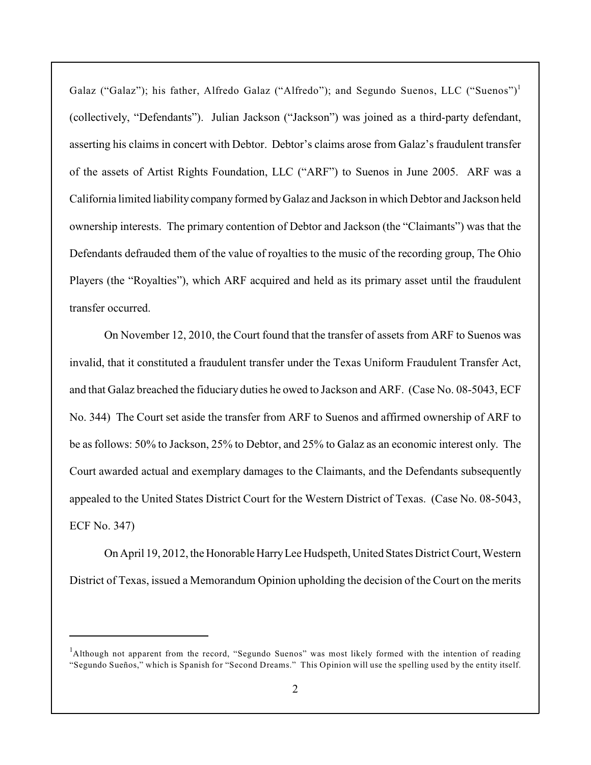Galaz ("Galaz"); his father, Alfredo Galaz ("Alfredo"); and Segundo Suenos, LLC ("Suenos")<sup>1</sup> (collectively, "Defendants"). Julian Jackson ("Jackson") was joined as a third-party defendant, asserting his claims in concert with Debtor. Debtor's claims arose from Galaz's fraudulent transfer of the assets of Artist Rights Foundation, LLC ("ARF") to Suenos in June 2005. ARF was a California limited liability company formed by Galaz and Jackson in which Debtor and Jackson held ownership interests. The primary contention of Debtor and Jackson (the "Claimants") was that the Defendants defrauded them of the value of royalties to the music of the recording group, The Ohio Players (the "Royalties"), which ARF acquired and held as its primary asset until the fraudulent transfer occurred.

On November 12, 2010, the Court found that the transfer of assets from ARF to Suenos was invalid, that it constituted a fraudulent transfer under the Texas Uniform Fraudulent Transfer Act, and that Galaz breached the fiduciary duties he owed to Jackson and ARF. (Case No. 08-5043, ECF No. 344) The Court set aside the transfer from ARF to Suenos and affirmed ownership of ARF to be as follows: 50% to Jackson, 25% to Debtor, and 25% to Galaz as an economic interest only. The Court awarded actual and exemplary damages to the Claimants, and the Defendants subsequently appealed to the United States District Court for the Western District of Texas. (Case No. 08-5043, ECF No. 347)

On April 19, 2012, the Honorable Harry Lee Hudspeth, United States District Court, Western District of Texas, issued a Memorandum Opinion upholding the decision of the Court on the merits

<sup>&</sup>lt;sup>1</sup>Although not apparent from the record, "Segundo Suenos" was most likely formed with the intention of reading "Segundo Sueños," which is Spanish for "Second Dreams." This Opinion will use the spelling used by the entity itself.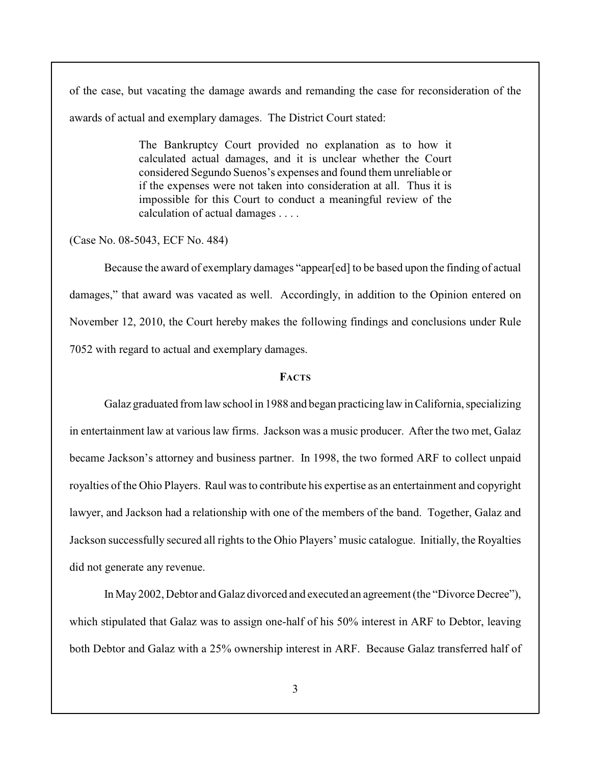of the case, but vacating the damage awards and remanding the case for reconsideration of the awards of actual and exemplary damages. The District Court stated:

> The Bankruptcy Court provided no explanation as to how it calculated actual damages, and it is unclear whether the Court considered Segundo Suenos's expenses and found them unreliable or if the expenses were not taken into consideration at all. Thus it is impossible for this Court to conduct a meaningful review of the calculation of actual damages . . . .

(Case No. 08-5043, ECF No. 484)

Because the award of exemplary damages "appear[ed] to be based upon the finding of actual damages," that award was vacated as well. Accordingly, in addition to the Opinion entered on November 12, 2010, the Court hereby makes the following findings and conclusions under Rule 7052 with regard to actual and exemplary damages.

## **FACTS**

Galaz graduated from law school in 1988 and began practicing law in California, specializing in entertainment law at various law firms. Jackson was a music producer. After the two met, Galaz became Jackson's attorney and business partner. In 1998, the two formed ARF to collect unpaid royalties of the Ohio Players. Raul was to contribute his expertise as an entertainment and copyright lawyer, and Jackson had a relationship with one of the members of the band. Together, Galaz and Jackson successfully secured all rights to the Ohio Players' music catalogue. Initially, the Royalties did not generate any revenue.

In May 2002, Debtor and Galaz divorced and executed an agreement (the "Divorce Decree"), which stipulated that Galaz was to assign one-half of his 50% interest in ARF to Debtor, leaving both Debtor and Galaz with a 25% ownership interest in ARF. Because Galaz transferred half of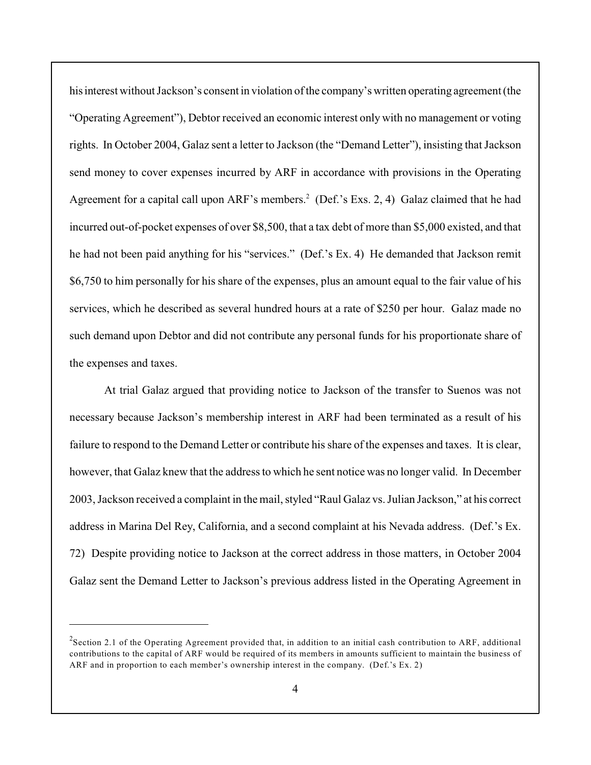his interest without Jackson's consent in violation of the company's written operating agreement (the "Operating Agreement"), Debtor received an economic interest only with no management or voting rights. In October 2004, Galaz sent a letter to Jackson (the "Demand Letter"), insisting that Jackson send money to cover expenses incurred by ARF in accordance with provisions in the Operating Agreement for a capital call upon ARF's members.<sup>2</sup> (Def.'s Exs. 2, 4) Galaz claimed that he had incurred out-of-pocket expenses of over \$8,500, that a tax debt of more than \$5,000 existed, and that he had not been paid anything for his "services." (Def.'s Ex. 4) He demanded that Jackson remit \$6,750 to him personally for his share of the expenses, plus an amount equal to the fair value of his services, which he described as several hundred hours at a rate of \$250 per hour. Galaz made no such demand upon Debtor and did not contribute any personal funds for his proportionate share of the expenses and taxes.

At trial Galaz argued that providing notice to Jackson of the transfer to Suenos was not necessary because Jackson's membership interest in ARF had been terminated as a result of his failure to respond to the Demand Letter or contribute his share of the expenses and taxes. It is clear, however, that Galaz knew that the address to which he sent notice was no longer valid. In December 2003, Jackson received a complaint in the mail, styled "Raul Galaz vs. Julian Jackson," at his correct address in Marina Del Rey, California, and a second complaint at his Nevada address. (Def.'s Ex. 72) Despite providing notice to Jackson at the correct address in those matters, in October 2004 Galaz sent the Demand Letter to Jackson's previous address listed in the Operating Agreement in

 $2$ Section 2.1 of the Operating Agreement provided that, in addition to an initial cash contribution to ARF, additional contributions to the capital of ARF would be required of its members in amounts sufficient to maintain the business of ARF and in proportion to each member's ownership interest in the company. (Def.'s Ex. 2)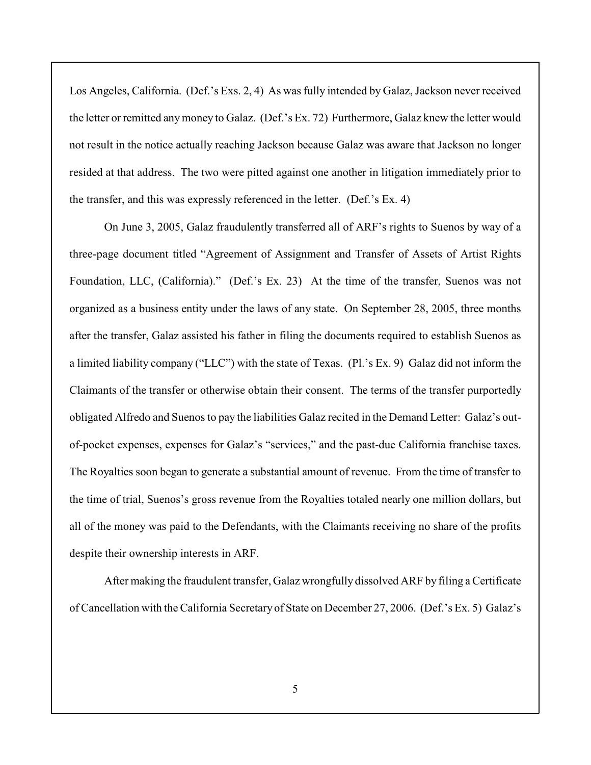Los Angeles, California. (Def.'s Exs. 2, 4) As was fully intended by Galaz, Jackson never received the letter or remitted anymoney to Galaz. (Def.'s Ex. 72) Furthermore, Galaz knew the letter would not result in the notice actually reaching Jackson because Galaz was aware that Jackson no longer resided at that address. The two were pitted against one another in litigation immediately prior to the transfer, and this was expressly referenced in the letter. (Def.'s Ex. 4)

On June 3, 2005, Galaz fraudulently transferred all of ARF's rights to Suenos by way of a three-page document titled "Agreement of Assignment and Transfer of Assets of Artist Rights Foundation, LLC, (California)." (Def.'s Ex. 23) At the time of the transfer, Suenos was not organized as a business entity under the laws of any state. On September 28, 2005, three months after the transfer, Galaz assisted his father in filing the documents required to establish Suenos as a limited liability company ("LLC") with the state of Texas. (Pl.'s Ex. 9) Galaz did not inform the Claimants of the transfer or otherwise obtain their consent. The terms of the transfer purportedly obligated Alfredo and Suenos to pay the liabilities Galaz recited in the Demand Letter: Galaz's outof-pocket expenses, expenses for Galaz's "services," and the past-due California franchise taxes. The Royalties soon began to generate a substantial amount of revenue. From the time of transfer to the time of trial, Suenos's gross revenue from the Royalties totaled nearly one million dollars, but all of the money was paid to the Defendants, with the Claimants receiving no share of the profits despite their ownership interests in ARF.

After making the fraudulent transfer, Galaz wrongfully dissolved ARF by filing a Certificate of Cancellation with the California Secretary of State on December 27, 2006. (Def.'s Ex. 5) Galaz's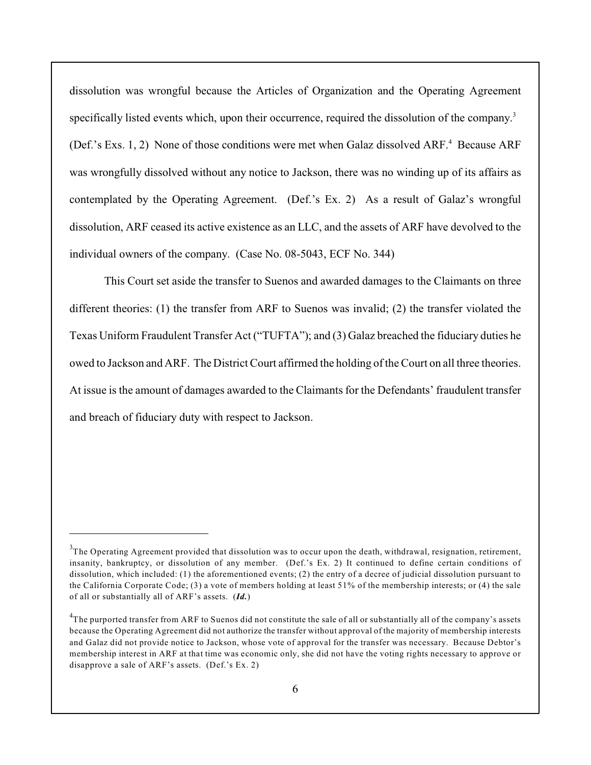dissolution was wrongful because the Articles of Organization and the Operating Agreement specifically listed events which, upon their occurrence, required the dissolution of the company.<sup>3</sup> (Def.'s Exs. 1, 2) None of those conditions were met when Galaz dissolved ARF.<sup>4</sup> Because ARF was wrongfully dissolved without any notice to Jackson, there was no winding up of its affairs as contemplated by the Operating Agreement. (Def.'s Ex. 2) As a result of Galaz's wrongful dissolution, ARF ceased its active existence as an LLC, and the assets of ARF have devolved to the individual owners of the company. (Case No. 08-5043, ECF No. 344)

This Court set aside the transfer to Suenos and awarded damages to the Claimants on three different theories: (1) the transfer from ARF to Suenos was invalid; (2) the transfer violated the Texas Uniform Fraudulent Transfer Act ("TUFTA"); and (3) Galaz breached the fiduciary duties he owed to Jackson and ARF. The District Court affirmed the holding of the Court on all three theories. At issue is the amount of damages awarded to the Claimants for the Defendants' fraudulent transfer and breach of fiduciary duty with respect to Jackson.

 ${}^{5}$ The Operating Agreement provided that dissolution was to occur upon the death, withdrawal, resignation, retirement, insanity, bankruptcy, or dissolution of any member. (Def.'s Ex. 2) It continued to define certain conditions of dissolution, which included: (1) the aforementioned events; (2) the entry of a decree of judicial dissolution pursuant to the California Corporate Code; (3) a vote of members holding at least 51% of the membership interests; or (4) the sale of all or substantially all of ARF's assets. (*Id.*)

 ${}^{4}$ The purported transfer from ARF to Suenos did not constitute the sale of all or substantially all of the company's assets because the Operating Agreement did not authorize the transfer without approval of the majority of membership interests and Galaz did not provide notice to Jackson, whose vote of approval for the transfer was necessary. Because Debtor's membership interest in ARF at that time was economic only, she did not have the voting rights necessary to approve or disapprove a sale of ARF's assets. (Def.'s Ex. 2)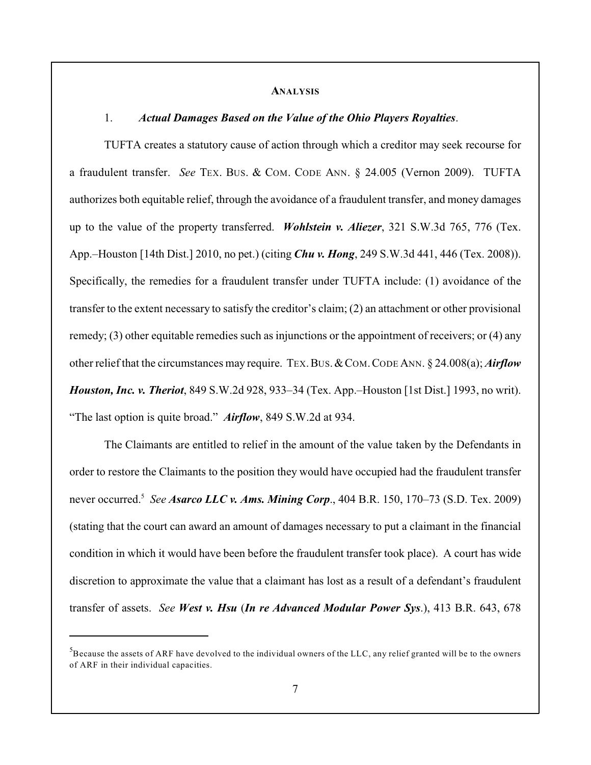#### **ANALYSIS**

#### 1. *Actual Damages Based on the Value of the Ohio Players Royalties*.

TUFTA creates a statutory cause of action through which a creditor may seek recourse for a fraudulent transfer. *See* TEX. BUS. & COM. CODE ANN. § 24.005 (Vernon 2009). TUFTA authorizes both equitable relief, through the avoidance of a fraudulent transfer, and money damages up to the value of the property transferred. *Wohlstein v. Aliezer*, 321 S.W.3d 765, 776 (Tex. App.–Houston [14th Dist.] 2010, no pet.) (citing *Chu v. Hong*, 249 S.W.3d 441, 446 (Tex. 2008)). Specifically, the remedies for a fraudulent transfer under TUFTA include: (1) avoidance of the transfer to the extent necessary to satisfy the creditor's claim; (2) an attachment or other provisional remedy; (3) other equitable remedies such as injunctions or the appointment of receivers; or (4) any other relief that the circumstances may require. TEX.BUS.&COM.CODE ANN. § 24.008(a); *Airflow Houston, Inc. v. Theriot*, 849 S.W.2d 928, 933–34 (Tex. App.–Houston [1st Dist.] 1993, no writ). "The last option is quite broad." *Airflow*, 849 S.W.2d at 934.

The Claimants are entitled to relief in the amount of the value taken by the Defendants in order to restore the Claimants to the position they would have occupied had the fraudulent transfer never occurred.<sup>5</sup> See *Asarco LLC v. Ams. Mining Corp.*, 404 B.R. 150, 170–73 (S.D. Tex. 2009) (stating that the court can award an amount of damages necessary to put a claimant in the financial condition in which it would have been before the fraudulent transfer took place). A court has wide discretion to approximate the value that a claimant has lost as a result of a defendant's fraudulent transfer of assets. *See West v. Hsu* (*In re Advanced Modular Power Sys*.), 413 B.R. 643, 678

 $^5$ Because the assets of ARF have devolved to the individual owners of the LLC, any relief granted will be to the owners of ARF in their individual capacities.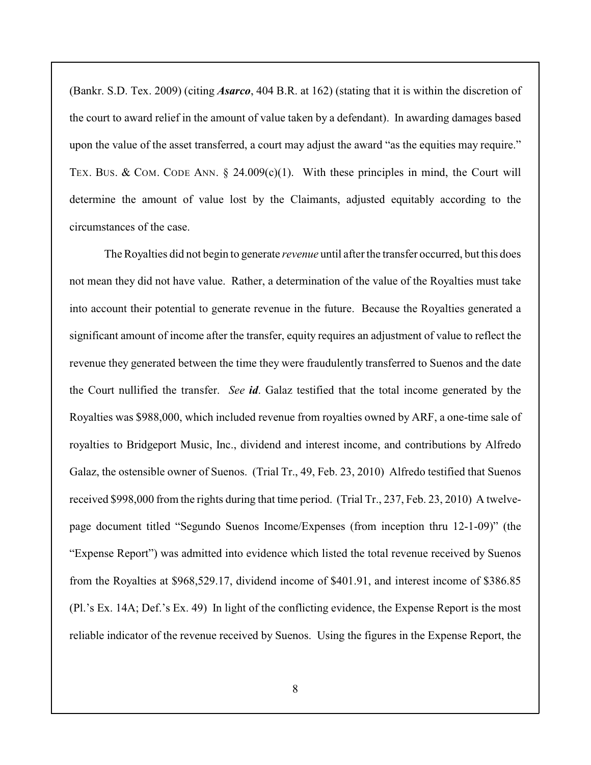(Bankr. S.D. Tex. 2009) (citing *Asarco*, 404 B.R. at 162) (stating that it is within the discretion of the court to award relief in the amount of value taken by a defendant). In awarding damages based upon the value of the asset transferred, a court may adjust the award "as the equities may require." TEX. BUS. & COM. CODE ANN.  $\S$  24.009(c)(1). With these principles in mind, the Court will determine the amount of value lost by the Claimants, adjusted equitably according to the circumstances of the case.

The Royalties did not begin to generate *revenue* until after the transfer occurred, but this does not mean they did not have value. Rather, a determination of the value of the Royalties must take into account their potential to generate revenue in the future. Because the Royalties generated a significant amount of income after the transfer, equity requires an adjustment of value to reflect the revenue they generated between the time they were fraudulently transferred to Suenos and the date the Court nullified the transfer. *See id*. Galaz testified that the total income generated by the Royalties was \$988,000, which included revenue from royalties owned by ARF, a one-time sale of royalties to Bridgeport Music, Inc., dividend and interest income, and contributions by Alfredo Galaz, the ostensible owner of Suenos. (Trial Tr., 49, Feb. 23, 2010) Alfredo testified that Suenos received \$998,000 from the rights during that time period. (Trial Tr., 237, Feb. 23, 2010) A twelvepage document titled "Segundo Suenos Income/Expenses (from inception thru 12-1-09)" (the "Expense Report") was admitted into evidence which listed the total revenue received by Suenos from the Royalties at \$968,529.17, dividend income of \$401.91, and interest income of \$386.85 (Pl.'s Ex. 14A; Def.'s Ex. 49) In light of the conflicting evidence, the Expense Report is the most reliable indicator of the revenue received by Suenos. Using the figures in the Expense Report, the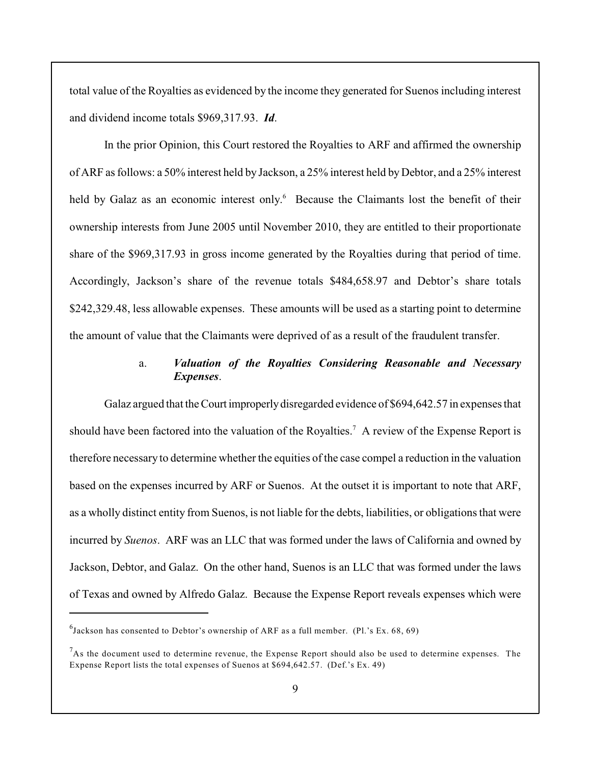total value of the Royalties as evidenced by the income they generated for Suenos including interest and dividend income totals \$969,317.93. *Id*.

In the prior Opinion, this Court restored the Royalties to ARF and affirmed the ownership of ARF as follows: a 50% interest held by Jackson, a 25% interest held by Debtor, and a 25% interest held by Galaz as an economic interest only.<sup>6</sup> Because the Claimants lost the benefit of their ownership interests from June 2005 until November 2010, they are entitled to their proportionate share of the \$969,317.93 in gross income generated by the Royalties during that period of time. Accordingly, Jackson's share of the revenue totals \$484,658.97 and Debtor's share totals \$242,329.48, less allowable expenses. These amounts will be used as a starting point to determine the amount of value that the Claimants were deprived of as a result of the fraudulent transfer.

# a. *Valuation of the Royalties Considering Reasonable and Necessary Expenses*.

Galaz argued that the Court improperly disregarded evidence of \$694,642.57 in expenses that should have been factored into the valuation of the Royalties.<sup>7</sup> A review of the Expense Report is therefore necessary to determine whether the equities of the case compel a reduction in the valuation based on the expenses incurred by ARF or Suenos. At the outset it is important to note that ARF, as a wholly distinct entity from Suenos, is not liable for the debts, liabilities, or obligations that were incurred by *Suenos*. ARF was an LLC that was formed under the laws of California and owned by Jackson, Debtor, and Galaz. On the other hand, Suenos is an LLC that was formed under the laws of Texas and owned by Alfredo Galaz. Because the Expense Report reveals expenses which were

 $^{6}$ Jackson has consented to Debtor's ownership of ARF as a full member. (Pl.'s Ex. 68, 69)

 $A<sup>7</sup>$ As the document used to determine revenue, the Expense Report should also be used to determine expenses. The Expense Report lists the total expenses of Suenos at \$694,642.57. (Def.'s Ex. 49)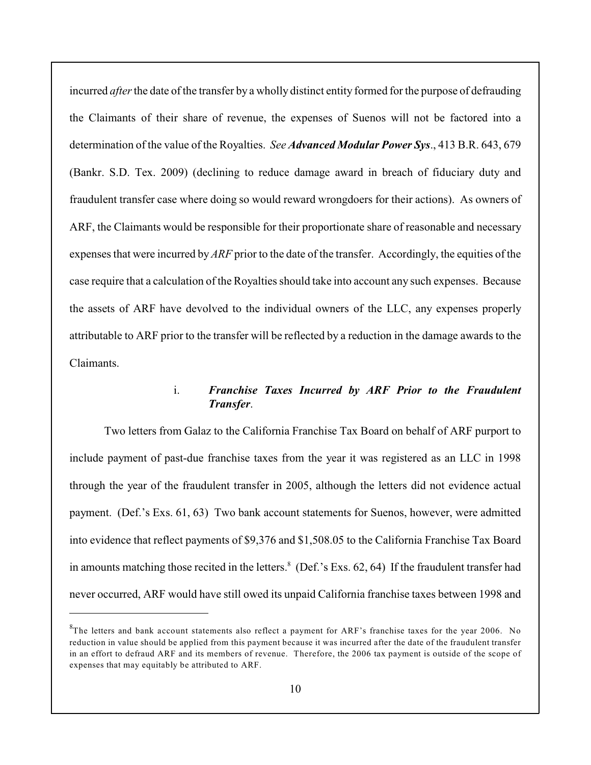incurred *after* the date of the transfer by a wholly distinct entity formed for the purpose of defrauding the Claimants of their share of revenue, the expenses of Suenos will not be factored into a determination of the value of the Royalties. *See Advanced Modular Power Sys*., 413 B.R. 643, 679 (Bankr. S.D. Tex. 2009) (declining to reduce damage award in breach of fiduciary duty and fraudulent transfer case where doing so would reward wrongdoers for their actions). As owners of ARF, the Claimants would be responsible for their proportionate share of reasonable and necessary expenses that were incurred by *ARF* prior to the date of the transfer. Accordingly, the equities of the case require that a calculation of the Royalties should take into account any such expenses. Because the assets of ARF have devolved to the individual owners of the LLC, any expenses properly attributable to ARF prior to the transfer will be reflected by a reduction in the damage awards to the Claimants.

### i. *Franchise Taxes Incurred by ARF Prior to the Fraudulent Transfer*.

Two letters from Galaz to the California Franchise Tax Board on behalf of ARF purport to include payment of past-due franchise taxes from the year it was registered as an LLC in 1998 through the year of the fraudulent transfer in 2005, although the letters did not evidence actual payment. (Def.'s Exs. 61, 63) Two bank account statements for Suenos, however, were admitted into evidence that reflect payments of \$9,376 and \$1,508.05 to the California Franchise Tax Board in amounts matching those recited in the letters. $8$  (Def.'s Exs. 62, 64) If the fraudulent transfer had never occurred, ARF would have still owed its unpaid California franchise taxes between 1998 and

 ${}^8$ The letters and bank account statements also reflect a payment for ARF's franchise taxes for the year 2006. No reduction in value should be applied from this payment because it was incurred after the date of the fraudulent transfer in an effort to defraud ARF and its members of revenue. Therefore, the 2006 tax payment is outside of the scope of expenses that may equitably be attributed to ARF.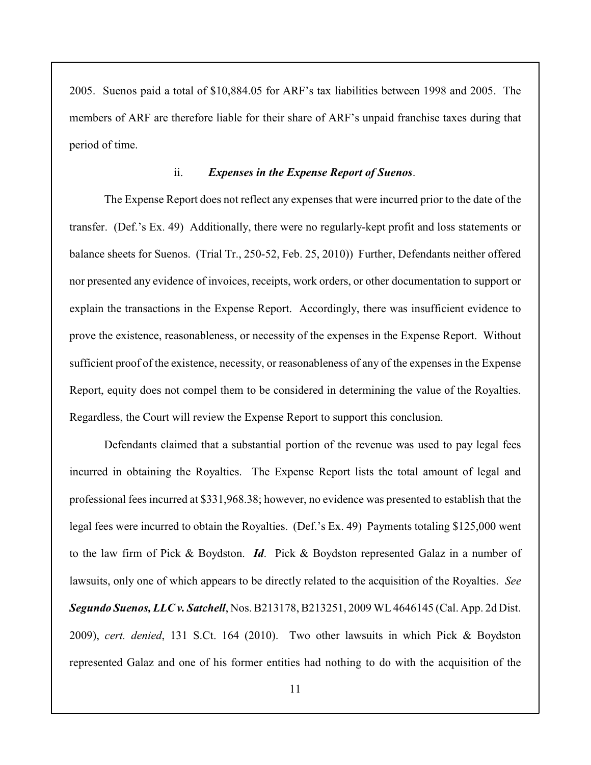2005. Suenos paid a total of \$10,884.05 for ARF's tax liabilities between 1998 and 2005. The members of ARF are therefore liable for their share of ARF's unpaid franchise taxes during that period of time.

### ii. *Expenses in the Expense Report of Suenos*.

The Expense Report does not reflect any expenses that were incurred prior to the date of the transfer. (Def.'s Ex. 49) Additionally, there were no regularly-kept profit and loss statements or balance sheets for Suenos. (Trial Tr., 250-52, Feb. 25, 2010)) Further, Defendants neither offered nor presented any evidence of invoices, receipts, work orders, or other documentation to support or explain the transactions in the Expense Report. Accordingly, there was insufficient evidence to prove the existence, reasonableness, or necessity of the expenses in the Expense Report. Without sufficient proof of the existence, necessity, or reasonableness of any of the expenses in the Expense Report, equity does not compel them to be considered in determining the value of the Royalties. Regardless, the Court will review the Expense Report to support this conclusion.

Defendants claimed that a substantial portion of the revenue was used to pay legal fees incurred in obtaining the Royalties. The Expense Report lists the total amount of legal and professional fees incurred at \$331,968.38; however, no evidence was presented to establish that the legal fees were incurred to obtain the Royalties. (Def.'s Ex. 49) Payments totaling \$125,000 went to the law firm of Pick & Boydston. *Id*. Pick & Boydston represented Galaz in a number of lawsuits, only one of which appears to be directly related to the acquisition of the Royalties. *See Segundo Suenos, LLC v. Satchell*, Nos. B213178,B213251, 2009 WL4646145 (Cal. App. 2d Dist. 2009), *cert. denied*, 131 S.Ct. 164 (2010). Two other lawsuits in which Pick & Boydston represented Galaz and one of his former entities had nothing to do with the acquisition of the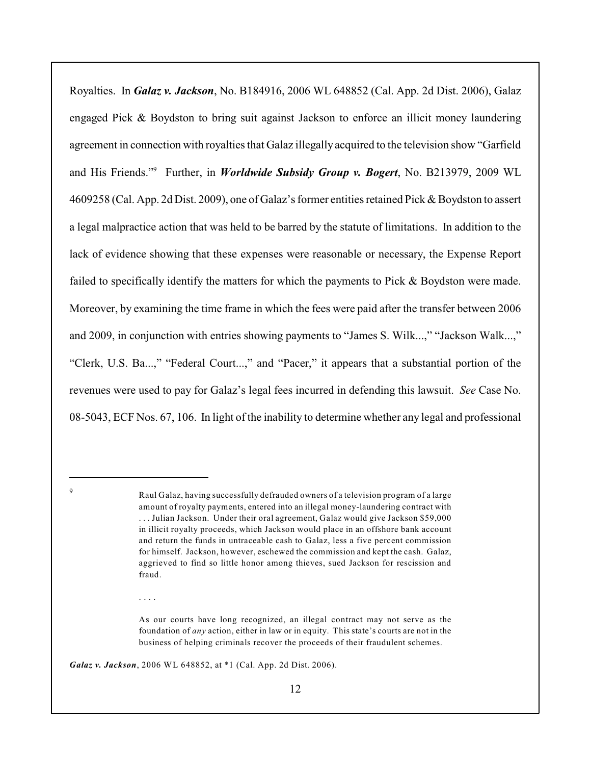Royalties. In *Galaz v. Jackson*, No. B184916, 2006 WL 648852 (Cal. App. 2d Dist. 2006), Galaz engaged Pick & Boydston to bring suit against Jackson to enforce an illicit money laundering agreement in connection with royalties that Galaz illegally acquired to the television show "Garfield and His Friends."<sup>9</sup> Further, in *Worldwide Subsidy Group v. Bogert*, No. B213979, 2009 WL 4609258 (Cal. App. 2d Dist. 2009), one of Galaz's former entities retained Pick & Boydston to assert a legal malpractice action that was held to be barred by the statute of limitations. In addition to the lack of evidence showing that these expenses were reasonable or necessary, the Expense Report failed to specifically identify the matters for which the payments to Pick & Boydston were made. Moreover, by examining the time frame in which the fees were paid after the transfer between 2006 and 2009, in conjunction with entries showing payments to "James S. Wilk...," "Jackson Walk...," "Clerk, U.S. Ba...," "Federal Court...," and "Pacer," it appears that a substantial portion of the revenues were used to pay for Galaz's legal fees incurred in defending this lawsuit. *See* Case No. 08-5043, ECF Nos. 67, 106. In light of the inability to determine whether any legal and professional

. . . .

 $\overline{Q}$ 

Raul Galaz, having successfully defrauded owners of a television program of a large amount of royalty payments, entered into an illegal money-laundering contract with . . . Julian Jackson. Under their oral agreement, Galaz would give Jackson \$59,000 in illicit royalty proceeds, which Jackson would place in an offshore bank account and return the funds in untraceable cash to Galaz, less a five percent commission for himself. Jackson, however, eschewed the commission and kept the cash. Galaz, aggrieved to find so little honor among thieves, sued Jackson for rescission and fraud.

As our courts have long recognized, an illegal contract may not serve as the foundation of *any* action, either in law or in equity. This state's courts are not in the business of helping criminals recover the proceeds of their fraudulent schemes.

*Galaz v. Jackson*, 2006 WL 648852, at \*1 (Cal. App. 2d Dist. 2006).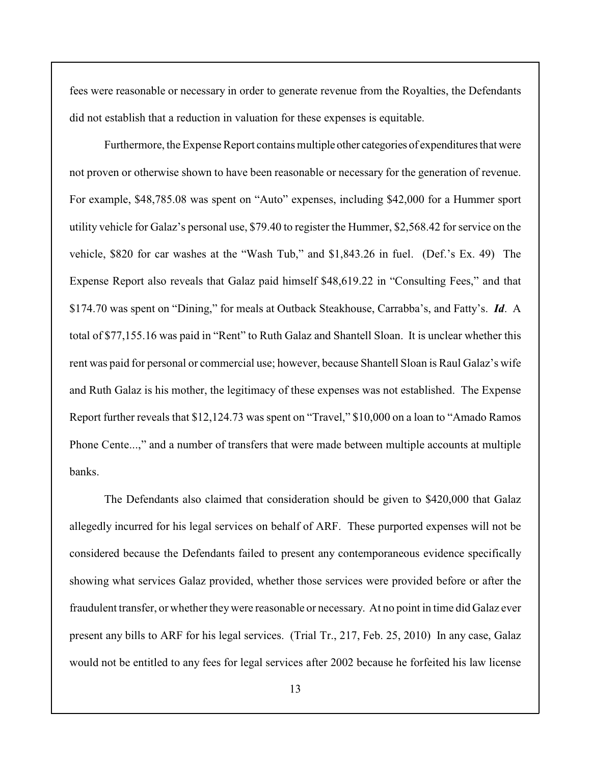fees were reasonable or necessary in order to generate revenue from the Royalties, the Defendants did not establish that a reduction in valuation for these expenses is equitable.

Furthermore, the Expense Report contains multiple other categories of expenditures that were not proven or otherwise shown to have been reasonable or necessary for the generation of revenue. For example, \$48,785.08 was spent on "Auto" expenses, including \$42,000 for a Hummer sport utility vehicle for Galaz's personal use, \$79.40 to register the Hummer, \$2,568.42 for service on the vehicle, \$820 for car washes at the "Wash Tub," and \$1,843.26 in fuel. (Def.'s Ex. 49) The Expense Report also reveals that Galaz paid himself \$48,619.22 in "Consulting Fees," and that \$174.70 was spent on "Dining," for meals at Outback Steakhouse, Carrabba's, and Fatty's. *Id*. A total of \$77,155.16 was paid in "Rent" to Ruth Galaz and Shantell Sloan. It is unclear whether this rent was paid for personal or commercial use; however, because Shantell Sloan is Raul Galaz's wife and Ruth Galaz is his mother, the legitimacy of these expenses was not established. The Expense Report further reveals that \$12,124.73 was spent on "Travel," \$10,000 on a loan to "Amado Ramos Phone Cente...," and a number of transfers that were made between multiple accounts at multiple banks.

The Defendants also claimed that consideration should be given to \$420,000 that Galaz allegedly incurred for his legal services on behalf of ARF. These purported expenses will not be considered because the Defendants failed to present any contemporaneous evidence specifically showing what services Galaz provided, whether those services were provided before or after the fraudulent transfer, or whether theywere reasonable or necessary. At no point in time did Galaz ever present any bills to ARF for his legal services. (Trial Tr., 217, Feb. 25, 2010) In any case, Galaz would not be entitled to any fees for legal services after 2002 because he forfeited his law license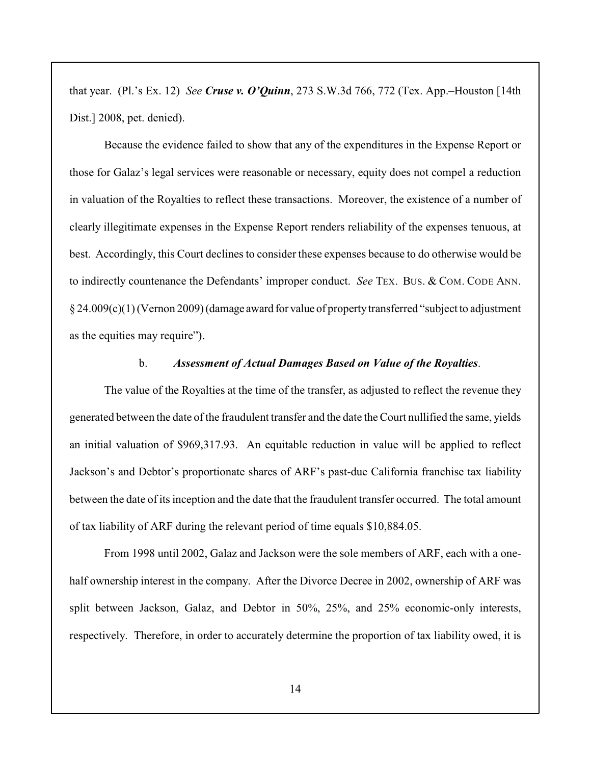that year. (Pl.'s Ex. 12) *See Cruse v. O'Quinn*, 273 S.W.3d 766, 772 (Tex. App.–Houston [14th Dist.] 2008, pet. denied).

Because the evidence failed to show that any of the expenditures in the Expense Report or those for Galaz's legal services were reasonable or necessary, equity does not compel a reduction in valuation of the Royalties to reflect these transactions. Moreover, the existence of a number of clearly illegitimate expenses in the Expense Report renders reliability of the expenses tenuous, at best. Accordingly, this Court declines to consider these expenses because to do otherwise would be to indirectly countenance the Defendants' improper conduct. *See* TEX. BUS. & COM. CODE ANN. § 24.009(c)(1) (Vernon 2009) (damage award for value of property transferred "subject to adjustment as the equities may require").

#### b. *Assessment of Actual Damages Based on Value of the Royalties*.

The value of the Royalties at the time of the transfer, as adjusted to reflect the revenue they generated between the date of the fraudulent transfer and the date the Court nullified the same, yields an initial valuation of \$969,317.93. An equitable reduction in value will be applied to reflect Jackson's and Debtor's proportionate shares of ARF's past-due California franchise tax liability between the date of its inception and the date that the fraudulent transfer occurred. The total amount of tax liability of ARF during the relevant period of time equals \$10,884.05.

From 1998 until 2002, Galaz and Jackson were the sole members of ARF, each with a onehalf ownership interest in the company. After the Divorce Decree in 2002, ownership of ARF was split between Jackson, Galaz, and Debtor in 50%, 25%, and 25% economic-only interests, respectively. Therefore, in order to accurately determine the proportion of tax liability owed, it is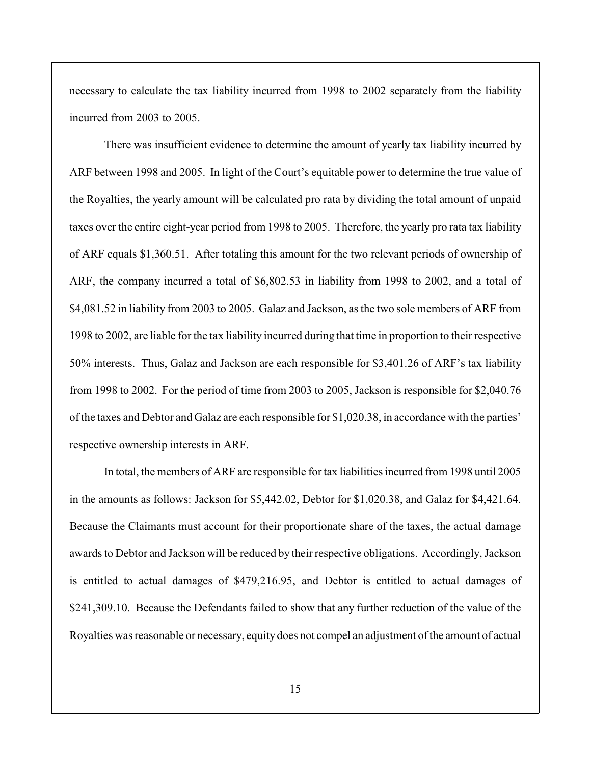necessary to calculate the tax liability incurred from 1998 to 2002 separately from the liability incurred from 2003 to 2005.

There was insufficient evidence to determine the amount of yearly tax liability incurred by ARF between 1998 and 2005. In light of the Court's equitable power to determine the true value of the Royalties, the yearly amount will be calculated pro rata by dividing the total amount of unpaid taxes over the entire eight-year period from 1998 to 2005. Therefore, the yearly pro rata tax liability of ARF equals \$1,360.51. After totaling this amount for the two relevant periods of ownership of ARF, the company incurred a total of \$6,802.53 in liability from 1998 to 2002, and a total of \$4,081.52 in liability from 2003 to 2005. Galaz and Jackson, as the two sole members of ARF from 1998 to 2002, are liable for the tax liability incurred during that time in proportion to their respective 50% interests. Thus, Galaz and Jackson are each responsible for \$3,401.26 of ARF's tax liability from 1998 to 2002. For the period of time from 2003 to 2005, Jackson is responsible for \$2,040.76 of the taxes and Debtor and Galaz are each responsible for \$1,020.38, in accordance with the parties' respective ownership interests in ARF.

In total, the members of ARF are responsible for tax liabilities incurred from 1998 until 2005 in the amounts as follows: Jackson for \$5,442.02, Debtor for \$1,020.38, and Galaz for \$4,421.64. Because the Claimants must account for their proportionate share of the taxes, the actual damage awards to Debtor and Jackson will be reduced by their respective obligations. Accordingly, Jackson is entitled to actual damages of \$479,216.95, and Debtor is entitled to actual damages of \$241,309.10. Because the Defendants failed to show that any further reduction of the value of the Royalties was reasonable or necessary, equity does not compel an adjustment of the amount of actual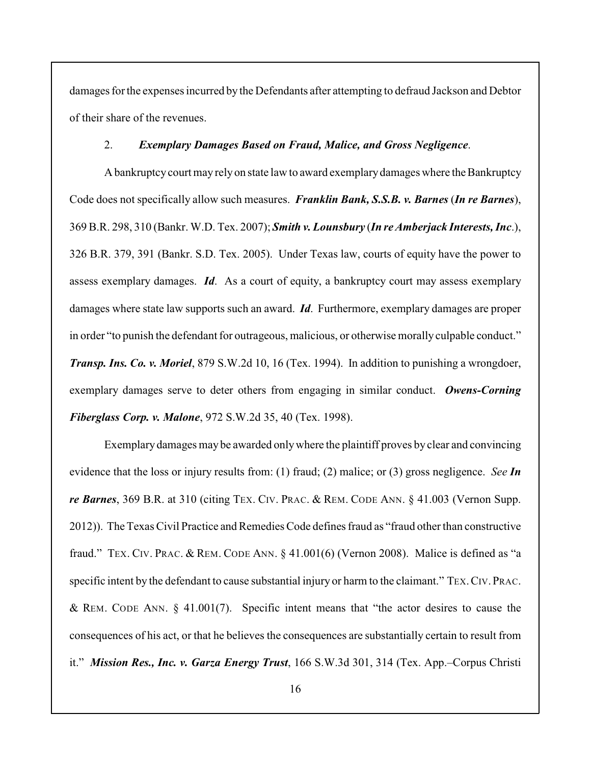damages for the expenses incurred by the Defendants after attempting to defraud Jackson and Debtor of their share of the revenues.

#### 2. *Exemplary Damages Based on Fraud, Malice, and Gross Negligence*.

A bankruptcy court may rely on state law to award exemplary damages where the Bankruptcy Code does not specifically allow such measures. *Franklin Bank, S.S.B. v. Barnes* (*In re Barnes*), 369 B.R. 298, 310 (Bankr. W.D. Tex. 2007); *Smith v. Lounsbury* (*In reAmberjack Interests, Inc*.), 326 B.R. 379, 391 (Bankr. S.D. Tex. 2005). Under Texas law, courts of equity have the power to assess exemplary damages. *Id*. As a court of equity, a bankruptcy court may assess exemplary damages where state law supports such an award. *Id*. Furthermore, exemplary damages are proper in order "to punish the defendant for outrageous, malicious, or otherwise morally culpable conduct." *Transp. Ins. Co. v. Moriel*, 879 S.W.2d 10, 16 (Tex. 1994). In addition to punishing a wrongdoer, exemplary damages serve to deter others from engaging in similar conduct. *Owens-Corning Fiberglass Corp. v. Malone*, 972 S.W.2d 35, 40 (Tex. 1998).

Exemplary damages may be awarded only where the plaintiff proves by clear and convincing evidence that the loss or injury results from: (1) fraud; (2) malice; or (3) gross negligence. *See In re Barnes*, 369 B.R. at 310 (citing TEX. CIV. PRAC. & REM. CODE ANN. § 41.003 (Vernon Supp. 2012)). The Texas Civil Practice and Remedies Code defines fraud as "fraud other than constructive fraud." TEX. CIV. PRAC. & REM. CODE ANN. § 41.001(6) (Vernon 2008). Malice is defined as "a specific intent by the defendant to cause substantial injury or harm to the claimant." TEX. CIV. PRAC. & REM. CODE ANN. § 41.001(7). Specific intent means that "the actor desires to cause the consequences of his act, or that he believes the consequences are substantially certain to result from it." *Mission Res., Inc. v. Garza Energy Trust*, 166 S.W.3d 301, 314 (Tex. App.–Corpus Christi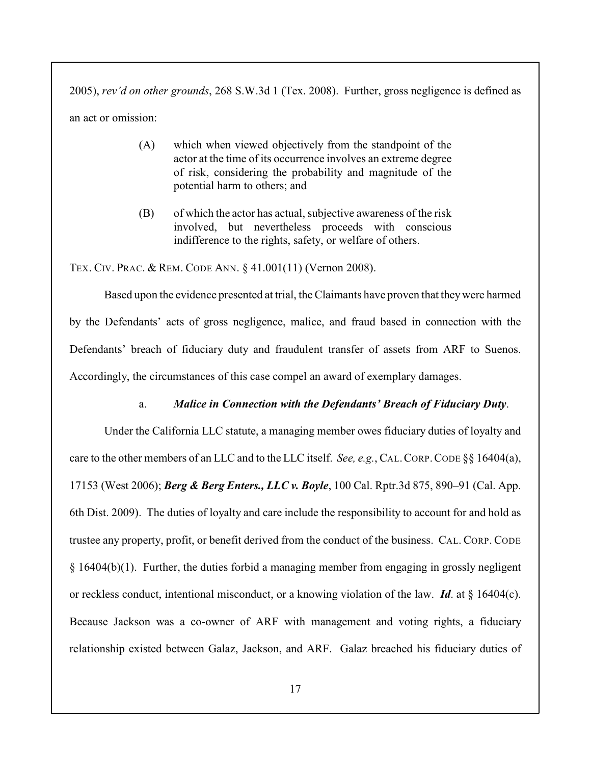2005), *rev'd on other grounds*, 268 S.W.3d 1 (Tex. 2008). Further, gross negligence is defined as an act or omission:

- (A) which when viewed objectively from the standpoint of the actor at the time of its occurrence involves an extreme degree of risk, considering the probability and magnitude of the potential harm to others; and
- (B) of which the actor has actual, subjective awareness of the risk involved, but nevertheless proceeds with conscious indifference to the rights, safety, or welfare of others.

TEX. CIV. PRAC. & REM. CODE ANN. § 41.001(11) (Vernon 2008).

Based upon the evidence presented at trial, the Claimants have proven that theywere harmed by the Defendants' acts of gross negligence, malice, and fraud based in connection with the Defendants' breach of fiduciary duty and fraudulent transfer of assets from ARF to Suenos. Accordingly, the circumstances of this case compel an award of exemplary damages.

## a. *Malice in Connection with the Defendants' Breach of Fiduciary Duty*.

Under the California LLC statute, a managing member owes fiduciary duties of loyalty and care to the other members of an LLC and to the LLC itself. *See, e.g.*, CAL.CORP.CODE §§ 16404(a), 17153 (West 2006); *Berg & Berg Enters., LLC v. Boyle*, 100 Cal. Rptr.3d 875, 890–91 (Cal. App. 6th Dist. 2009). The duties of loyalty and care include the responsibility to account for and hold as trustee any property, profit, or benefit derived from the conduct of the business. CAL. CORP. CODE § 16404(b)(1). Further, the duties forbid a managing member from engaging in grossly negligent or reckless conduct, intentional misconduct, or a knowing violation of the law. *Id*. at § 16404(c). Because Jackson was a co-owner of ARF with management and voting rights, a fiduciary relationship existed between Galaz, Jackson, and ARF. Galaz breached his fiduciary duties of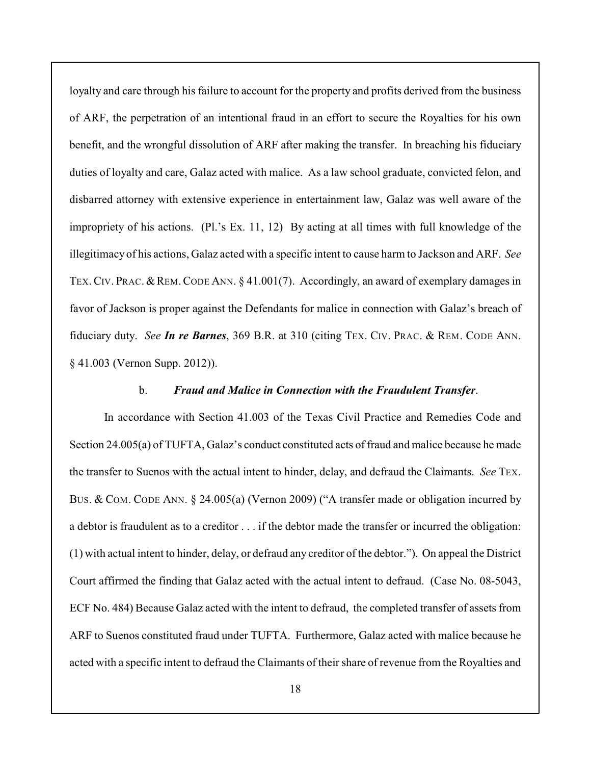loyalty and care through his failure to account for the property and profits derived from the business of ARF, the perpetration of an intentional fraud in an effort to secure the Royalties for his own benefit, and the wrongful dissolution of ARF after making the transfer. In breaching his fiduciary duties of loyalty and care, Galaz acted with malice. As a law school graduate, convicted felon, and disbarred attorney with extensive experience in entertainment law, Galaz was well aware of the impropriety of his actions. (Pl.'s Ex. 11, 12) By acting at all times with full knowledge of the illegitimacy of his actions, Galaz acted with a specific intent to cause harm to Jackson and ARF. *See* TEX. CIV. PRAC. & REM. CODE ANN. § 41.001(7). Accordingly, an award of exemplary damages in favor of Jackson is proper against the Defendants for malice in connection with Galaz's breach of fiduciary duty. *See In re Barnes*, 369 B.R. at 310 (citing TEX. CIV. PRAC. & REM. CODE ANN. § 41.003 (Vernon Supp. 2012)).

#### b. *Fraud and Malice in Connection with the Fraudulent Transfer*.

In accordance with Section 41.003 of the Texas Civil Practice and Remedies Code and Section 24.005(a) of TUFTA, Galaz's conduct constituted acts of fraud and malice because he made the transfer to Suenos with the actual intent to hinder, delay, and defraud the Claimants. *See* TEX. BUS. & COM. CODE ANN. § 24.005(a) (Vernon 2009) ("A transfer made or obligation incurred by a debtor is fraudulent as to a creditor . . . if the debtor made the transfer or incurred the obligation: (1) with actual intent to hinder, delay, or defraud any creditor of the debtor."). On appeal the District Court affirmed the finding that Galaz acted with the actual intent to defraud. (Case No. 08-5043, ECF No. 484) Because Galaz acted with the intent to defraud, the completed transfer of assets from ARF to Suenos constituted fraud under TUFTA. Furthermore, Galaz acted with malice because he acted with a specific intent to defraud the Claimants of their share of revenue from the Royalties and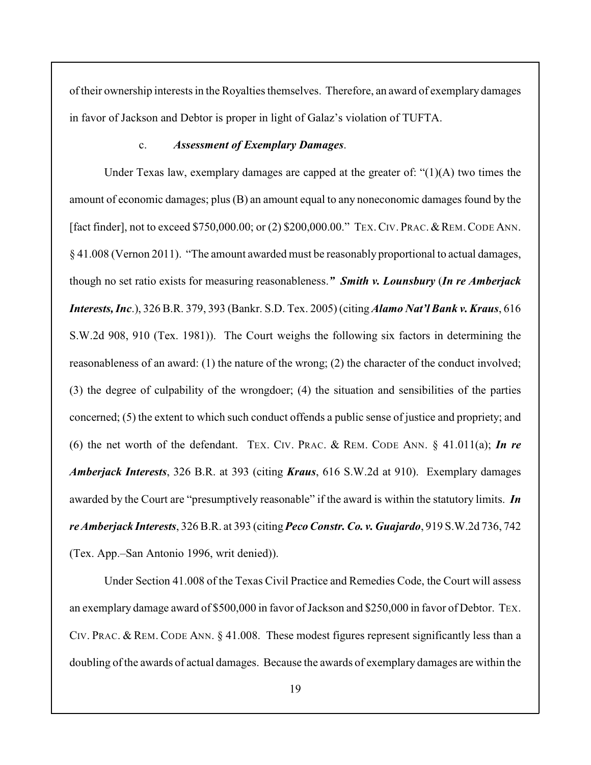of their ownership interests in the Royalties themselves. Therefore, an award of exemplary damages in favor of Jackson and Debtor is proper in light of Galaz's violation of TUFTA.

### c. *Assessment of Exemplary Damages*.

Under Texas law, exemplary damages are capped at the greater of: "(1)(A) two times the amount of economic damages; plus (B) an amount equal to any noneconomic damages found by the [fact finder], not to exceed \$750,000.00; or (2) \$200,000.00." TEX. CIV. PRAC. & REM. CODE ANN. § 41.008 (Vernon 2011). "The amount awarded must be reasonably proportional to actual damages, though no set ratio exists for measuring reasonableness.*" Smith v. Lounsbury* (*In re Amberjack Interests, Inc*.), 326 B.R. 379, 393 (Bankr. S.D. Tex. 2005) (citing *Alamo Nat'l Bank v. Kraus*, 616 S.W.2d 908, 910 (Tex. 1981)). The Court weighs the following six factors in determining the reasonableness of an award: (1) the nature of the wrong; (2) the character of the conduct involved; (3) the degree of culpability of the wrongdoer; (4) the situation and sensibilities of the parties concerned; (5) the extent to which such conduct offends a public sense of justice and propriety; and (6) the net worth of the defendant. TEX. CIV. PRAC. & REM. CODE ANN. § 41.011(a); *In re Amberjack Interests*, 326 B.R. at 393 (citing *Kraus*, 616 S.W.2d at 910). Exemplary damages awarded by the Court are "presumptively reasonable" if the award is within the statutory limits. *In re Amberjack Interests*, 326 B.R. at 393 (citing *Peco Constr. Co. v. Guajardo*, 919 S.W.2d 736, 742 (Tex. App.–San Antonio 1996, writ denied)).

Under Section 41.008 of the Texas Civil Practice and Remedies Code, the Court will assess an exemplary damage award of \$500,000 in favor of Jackson and \$250,000 in favor of Debtor. TEX. CIV. PRAC. & REM. CODE ANN. § 41.008. These modest figures represent significantly less than a doubling of the awards of actual damages. Because the awards of exemplary damages are within the